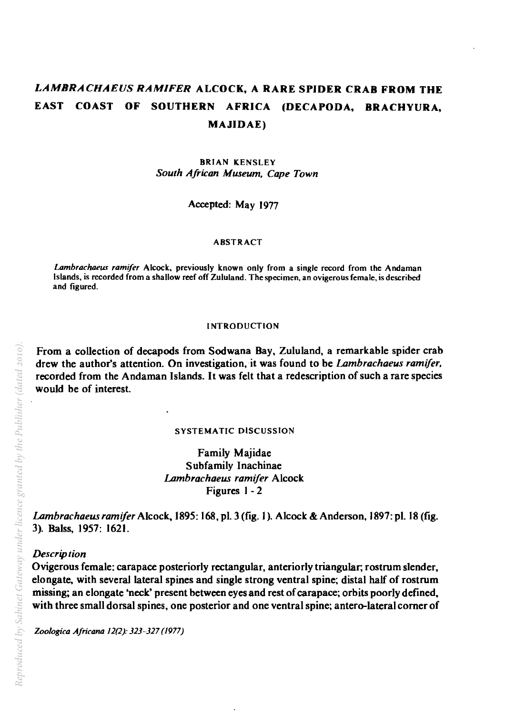# *LAMBRACHAEUS RAM/FER* ALCOCK, A RARE SPIDER CRAB FROM THE EAST COAST OF SOUTHERN AFRICA (DECAPODA, BRACHYURA, MAJIDAE)

**BRIAN KENSLEY** *South African Museum. Cape Town* 

Accepted: May 1977

## ABSTRACT

*Lambrachaew rami/er* Alcock, previously known only from a single record from the Andaman Islands, is recorded from a shallow reef off Zululand. The specimen, an ovigerous female, is described and figured.

#### INTRODUCTION

From a collection of decapods from Sodwana Bay, Zululand, a remarkable spider crab drew the author's attention. On investigation, it was found to be *Lambrachaeus ramijer.*  recorded from the Andaman Islands. It was felt that a redescription of such a rare species would be of interest.

## SYSTEMATIC DISCUSSION

Family Majidae Subfamily Inachinae *Lambrachaeus ramijer* Alcock Figures 1- 2

*Lambrachaeusramifer* Alcock. 1895: 168. pI. 3 (fig. I). Alcock & Anderson, 1897: pI. 18 (fig. 3). Balss, 1957: 1621.

# *Description*

Ovigerous female: carapace posteriorly rectangular, anteriorly triangular; rostrum slender, elongate. with several lateral spines and single strong ventral spine; distal half of rostrum missing; an elongate 'neck' present between eyes and rest of carapace; orbits poorly defined, with three small dorsal spines, one posterior and one ventral spine; antero-Iateral corner of

*Zoologica A/ricana* 12(2): 323-327 (1977)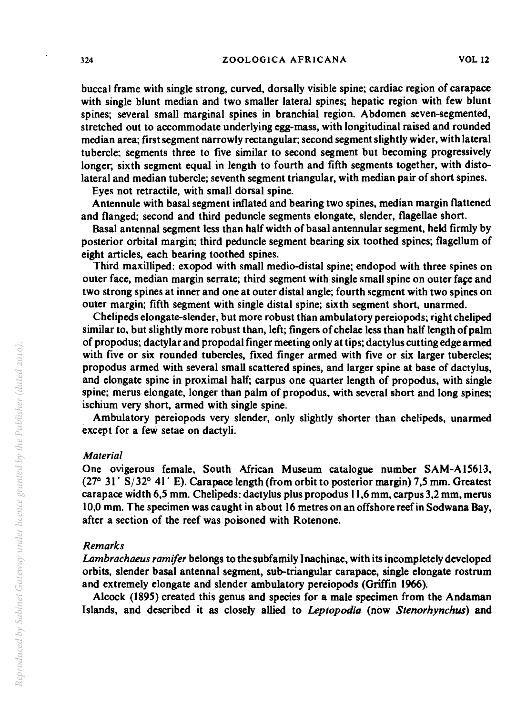buccal frame with single strong, curved, dorsally visible spine; cardiac region of carapace with single blunt median and two smaller lateral spines; hepatic region with few blunt spines; several small marginal spines in branchial region. Abdomen seven-segmented, stretched out to accommodate underlying egg-mass, with longitudinal raised and rounded median area; first segment narrowly rectangular; second segment slightly wider, with lateral tubercle; segments three to five similar to second segment but becoming progressively longer; sixth segment equal in length to fourth and fifth segments together, with distolateral and median tubercle; seventh segment triangular, with median pair of short spines.

Eyes not retractile, with small dorsal spine.

Antennule with basal segment inflated and bearing two spines, median margin flattened and flanged; second and third peduncle segments elongate, slender, flagellae short.

Basal antennal segment less than half width of basal antennular segment, held firmly by posterior orbital margin; third peduncle segment bearing six toothed spines; flagellum of eight articles, each bearing toothed spines.

Third maxilliped: exopod with small medio-distal spine; endopod with three spines on outer face, median margin serrate; third segment with single small spine on outer face and two strong spines at inner and one at outer distal angle; fourth segment with two spines on outer margin; fifth segment with single distal spine; sixth segment short, unarmed.

Chelipeds elongate-slender, but more robust than ambulatory pereiopods; right cheliped similar to, but slightly more robust than, left; fingers of chelae less than half length of palm of propodus; dactylar and propodal finger meeting only at tips; dactylus cutting edge armed with five or six rounded tubercles, fixed finger armed with five or six larger tubercles; propodus armed with several small scattered spines, and larger spine at base of dactylus, and elongate spine in proximal half; carpus one quarter length of propodus, with single spine; merus elongate, longer than palm of propodus, with several short and long spines; ischium very short, armed with single spine.

Ambulatory pereiopods very slender, only slightly shorter than chelipeds, unarmed except for a feW setae on dactyli.

# *Material*

One ovigerous female, South African Museum catalogue number SAM-AIS6IJ,  $(27^{\circ}$  31' S/32 $^{\circ}$  41' E). Carapace length (from orbit to posterior margin) 7,5 mm. Greatest carapace width *6,S* mm. Chelipeds: dactylus plus propodus 11,6 mm, carpus 3,2 mm, merus 10,0 mm. The specimen was caught in about 16 metres on an offshore reef in Sodwana Bay, after a section of the reef was poisoned with Rotenone.

## *Remarks*

*Lambrachaeus ramifer* belongs to the subfamily lnachinae, with its incompletely developed orbits, slender basal antennal segment, sub-triangular carapace, single elongate rostrum and extremely elongate and slender ambulatory pereiopods (Griffin 1966).

Alcock (189S) created this genus and species for a male specimen from the Andaman Islands, and described it as closely allied to *Leptopodia* (now *Stenorhynchw)* and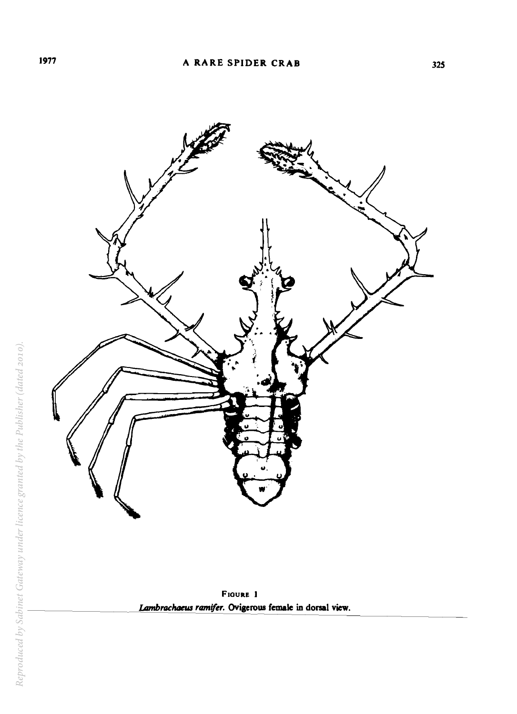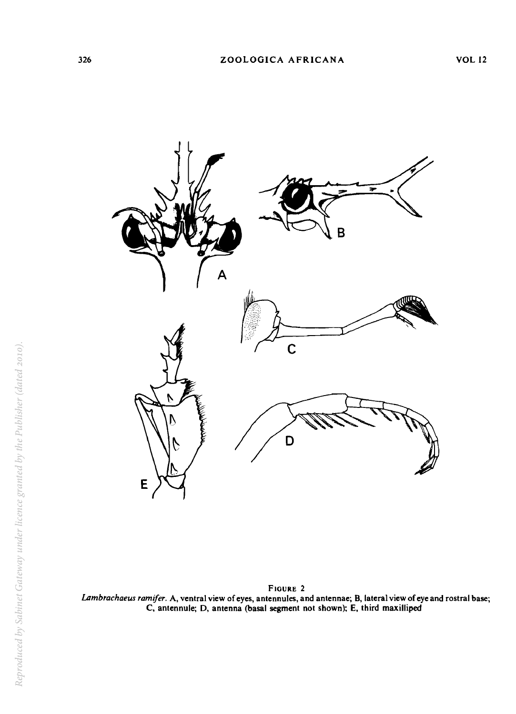

FIGURE 2 *LAmbrachaeus ramifer.* A, ventral view of eyes, antennules, and antennae; B, lateral view of eye and rostral base; C, antennule; D, antenna (basal segment not shown); E, third maxilliped